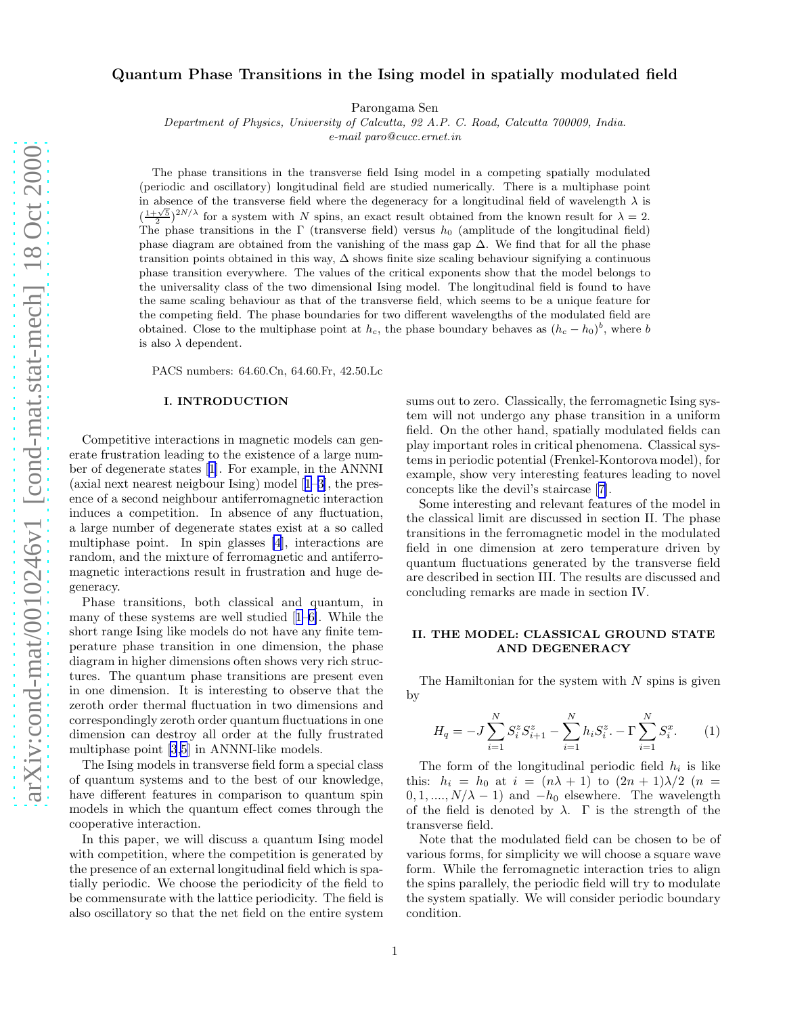# Quantum Phase Transitions in the Ising model in spatially modulated field

Parongama Sen

Department of Physics, University of Calcutta, 92 A.P. C. Road, Calcutta 700009, India.

e-mail paro@cucc.ernet.in

The phase transitions in the transverse field Ising model in a competing spatially modulated (periodic and oscillatory) longitudinal field are studied numerically. There is a multiphase point in absence of the transverse field where the degeneracy for a longitudinal field of wavelength  $\lambda$  is  $\left(\frac{1+\sqrt{5}}{2}\right)^{2N/\lambda}$  for a system with N spins, an exact result obtained from the known result for  $\lambda = 2$ . The phase transitions in the Γ (transverse field) versus  $h_0$  (amplitude of the longitudinal field) phase diagram are obtained from the vanishing of the mass gap ∆. We find that for all the phase transition points obtained in this way, ∆ shows finite size scaling behaviour signifying a continuous phase transition everywhere. The values of the critical exponents show that the model belongs to the universality class of the two dimensional Ising model. The longitudinal field is found to have the same scaling behaviour as that of the transverse field, which seems to be a unique feature for the competing field. The phase boundaries for two different wavelengths of the modulated field are obtained. Close to the multiphase point at  $h_c$ , the phase boundary behaves as  $(h_c - h_0)^b$ , where b is also  $\lambda$  dependent.

PACS numbers: 64.60.Cn, 64.60.Fr, 42.50.Lc

#### I. INTRODUCTION

Competitive interactions in magnetic models can generate frustration leading to the existence of a large number of degenerate states[[1](#page-3-0)]. For example, in the ANNNI (axial next nearest neigbour Ising) model[[1–3\]](#page-3-0), the presence of a second neighbour antiferromagnetic interaction induces a competition. In absence of any fluctuation, a large number of degenerate states exist at a so called multiphase point. In spin glasses [\[4](#page-3-0)], interactions are random, and the mixture of ferromagnetic and antiferromagnetic interactions result in frustration and huge degeneracy.

Phase transitions, both classical and quantum, in many of these systems are well studied[[1–6\]](#page-3-0). While the short range Ising like models do not have any finite temperature phase transition in one dimension, the phase diagram in higher dimensions often shows very rich structures. The quantum phase transitions are present even in one dimension. It is interesting to observe that the zeroth order thermal fluctuation in two dimensions and correspondingly zeroth order quantum fluctuations in one dimension can destroy all order at the fully frustrated multiphase point [\[3,5](#page-3-0)] in ANNNI-like models.

The Ising models in transverse field form a special class of quantum systems and to the best of our knowledge, have different features in comparison to quantum spin models in which the quantum effect comes through the cooperative interaction.

In this paper, we will discuss a quantum Ising model with competition, where the competition is generated by the presence of an external longitudinal field which is spatially periodic. We choose the periodicity of the field to be commensurate with the lattice periodicity. The field is also oscillatory so that the net field on the entire system sums out to zero. Classically, the ferromagnetic Ising system will not undergo any phase transition in a uniform field. On the other hand, spatially modulated fields can play important roles in critical phenomena. Classical systems in periodic potential (Frenkel-Kontorova model), for example, show very interesting features leading to novel concepts like the devil's staircase[[7\]](#page-3-0).

Some interesting and relevant features of the model in the classical limit are discussed in section II. The phase transitions in the ferromagnetic model in the modulated field in one dimension at zero temperature driven by quantum fluctuations generated by the transverse field are described in section III. The results are discussed and concluding remarks are made in section IV.

## II. THE MODEL: CLASSICAL GROUND STATE AND DEGENERACY

The Hamiltonian for the system with  $N$  spins is given by

$$
H_q = -J\sum_{i=1}^{N} S_i^z S_{i+1}^z - \sum_{i=1}^{N} h_i S_i^z - \Gamma \sum_{i=1}^{N} S_i^x.
$$
 (1)

The form of the longitudinal periodic field  $h_i$  is like this:  $h_i = h_0$  at  $i = (n\lambda + 1)$  to  $(2n + 1)\lambda/2$   $(n =$  $0, 1, \ldots, N/\lambda - 1)$  and  $-h_0$  elsewhere. The wavelength of the field is denoted by  $\lambda$ .  $\Gamma$  is the strength of the transverse field.

Note that the modulated field can be chosen to be of various forms, for simplicity we will choose a square wave form. While the ferromagnetic interaction tries to align the spins parallely, the periodic field will try to modulate the system spatially. We will consider periodic boundary condition.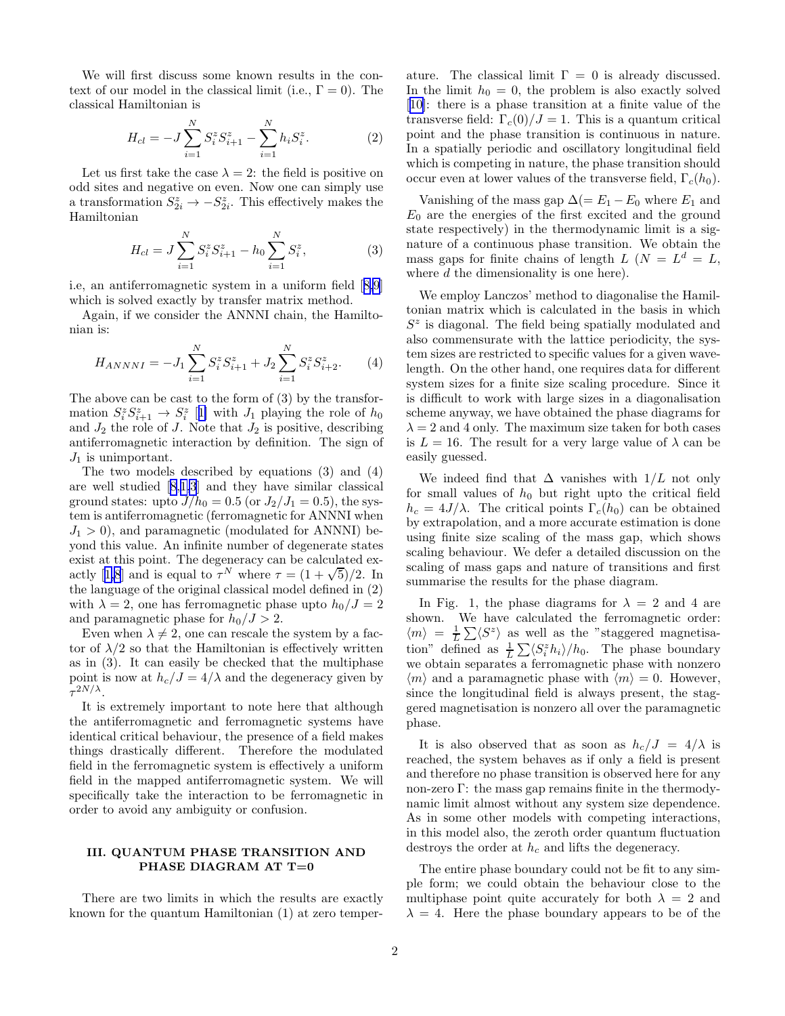We will first discuss some known results in the context of our model in the classical limit (i.e.,  $\Gamma = 0$ ). The classical Hamiltonian is

$$
H_{cl} = -J\sum_{i=1}^{N} S_i^z S_{i+1}^z - \sum_{i=1}^{N} h_i S_i^z.
$$
 (2)

Let us first take the case  $\lambda = 2$ : the field is positive on odd sites and negative on even. Now one can simply use a transformation  $S_{2i}^z \to -S_{2i}^z$ . This effectively makes the Hamiltonian

$$
H_{cl} = J \sum_{i=1}^{N} S_i^z S_{i+1}^z - h_0 \sum_{i=1}^{N} S_i^z,
$$
 (3)

i.e, an antiferromagnetic system in a uniform field[[8,9](#page-3-0)] which is solved exactly by transfer matrix method.

Again, if we consider the ANNNI chain, the Hamiltonian is:

$$
H_{ANNNI} = -J_1 \sum_{i=1}^{N} S_i^z S_{i+1}^z + J_2 \sum_{i=1}^{N} S_i^z S_{i+2}^z.
$$
 (4)

The above can be cast to the form of (3) by the transformation  $S_i^z S_{i+1}^z \to S_i^z$  [[1\]](#page-3-0) with  $J_1$  playing the role of  $h_0$ and  $J_2$  the role of  $J$ . Note that  $J_2$  is positive, describing antiferromagnetic interaction by definition. The sign of  $J_1$  is unimportant.

The two models described by equations (3) and (4) are well studied[[8,1,3](#page-3-0)] and they have similar classical ground states: upto  $J/h_0 = 0.5$  (or  $J_2/J_1 = 0.5$ ), the system is antiferromagnetic (ferromagnetic for ANNNI when  $J_1 > 0$ , and paramagnetic (modulated for ANNNI) beyond this value. An infinite number of degenerate states exist at this point. The degeneracy can be calculated ex-actly[[1,8](#page-3-0)] and is equal to  $\tau^N$  where  $\tau = (1 + \sqrt{5})/2$ . In the language of the original classical model defined in (2) with  $\lambda = 2$ , one has ferromagnetic phase upto  $h_0/J = 2$ and paramagnetic phase for  $h_0/J > 2$ .

Even when  $\lambda \neq 2$ , one can rescale the system by a factor of  $\lambda/2$  so that the Hamiltonian is effectively written as in (3). It can easily be checked that the multiphase point is now at  $h_c/J = 4/\lambda$  and the degeneracy given by  $\tau^{2N/\lambda}$ .

It is extremely important to note here that although the antiferromagnetic and ferromagnetic systems have identical critical behaviour, the presence of a field makes things drastically different. Therefore the modulated field in the ferromagnetic system is effectively a uniform field in the mapped antiferromagnetic system. We will specifically take the interaction to be ferromagnetic in order to avoid any ambiguity or confusion.

## III. QUANTUM PHASE TRANSITION AND PHASE DIAGRAM AT T=0

There are two limits in which the results are exactly known for the quantum Hamiltonian (1) at zero temperature. The classical limit  $\Gamma = 0$  is already discussed. In the limit  $h_0 = 0$ , the problem is also exactly solved [[10\]](#page-3-0): there is a phase transition at a finite value of the transverse field:  $\Gamma_c(0)/J = 1$ . This is a quantum critical point and the phase transition is continuous in nature. In a spatially periodic and oscillatory longitudinal field which is competing in nature, the phase transition should occur even at lower values of the transverse field,  $\Gamma_c(h_0)$ .

Vanishing of the mass gap  $\Delta (= E_1 - E_0)$  where  $E_1$  and  $E_0$  are the energies of the first excited and the ground state respectively) in the thermodynamic limit is a signature of a continuous phase transition. We obtain the mass gaps for finite chains of length  $L$  ( $N = L<sup>d</sup> = L$ , where d the dimensionality is one here).

We employ Lanczos' method to diagonalise the Hamiltonian matrix which is calculated in the basis in which  $S<sup>z</sup>$  is diagonal. The field being spatially modulated and also commensurate with the lattice periodicity, the system sizes are restricted to specific values for a given wavelength. On the other hand, one requires data for different system sizes for a finite size scaling procedure. Since it is difficult to work with large sizes in a diagonalisation scheme anyway, we have obtained the phase diagrams for  $\lambda = 2$  and 4 only. The maximum size taken for both cases is  $L = 16$ . The result for a very large value of  $\lambda$  can be easily guessed.

We indeed find that  $\Delta$  vanishes with  $1/L$  not only for small values of  $h_0$  but right upto the critical field  $h_c = 4J/\lambda$ . The critical points  $\Gamma_c(h_0)$  can be obtained by extrapolation, and a more accurate estimation is done using finite size scaling of the mass gap, which shows scaling behaviour. We defer a detailed discussion on the scaling of mass gaps and nature of transitions and first summarise the results for the phase diagram.

In Fig. 1, the phase diagrams for  $\lambda = 2$  and 4 are shown. We have calculated the ferromagnetic order:  $\langle m \rangle = \frac{1}{L} \sum \langle S^z \rangle$  as well as the "staggered magnetisation" defined as  $\frac{1}{L} \sum \langle S_i^z h_i \rangle / h_0$ . The phase boundary we obtain separates a ferromagnetic phase with nonzero  $\langle m \rangle$  and a paramagnetic phase with  $\langle m \rangle = 0$ . However, since the longitudinal field is always present, the staggered magnetisation is nonzero all over the paramagnetic phase.

It is also observed that as soon as  $h_c/J = 4/\lambda$  is reached, the system behaves as if only a field is present and therefore no phase transition is observed here for any non-zero Γ: the mass gap remains finite in the thermodynamic limit almost without any system size dependence. As in some other models with competing interactions, in this model also, the zeroth order quantum fluctuation destroys the order at  $h_c$  and lifts the degeneracy.

The entire phase boundary could not be fit to any simple form; we could obtain the behaviour close to the multiphase point quite accurately for both  $\lambda = 2$  and  $\lambda = 4$ . Here the phase boundary appears to be of the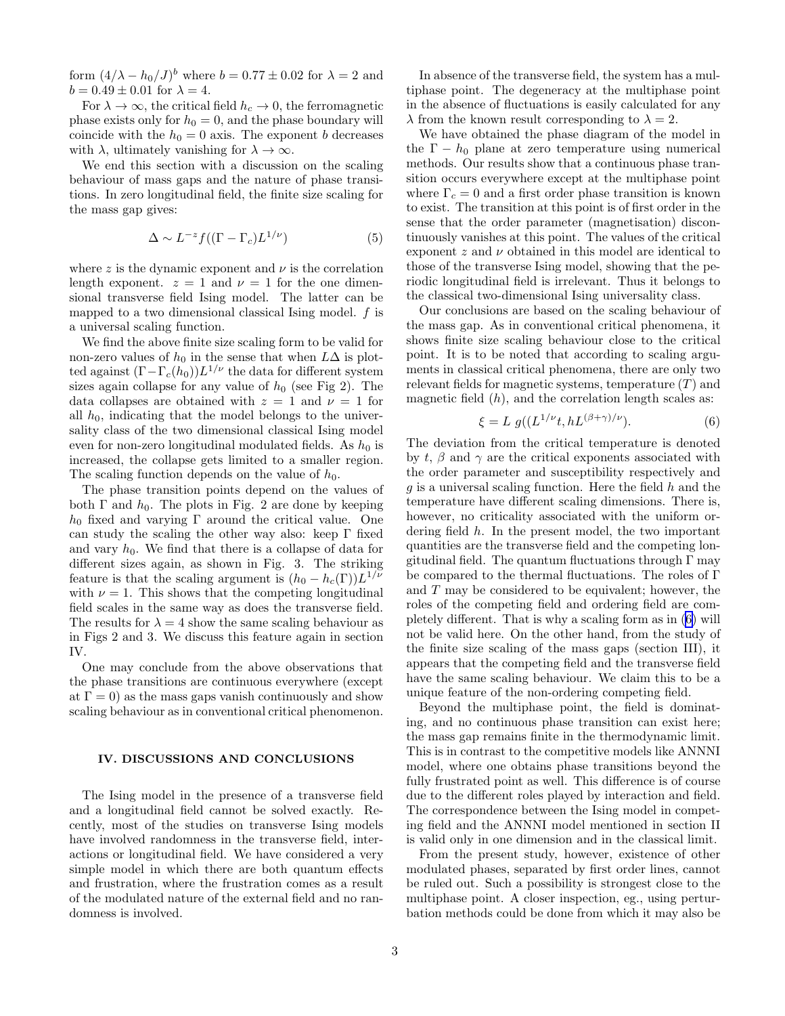form  $(4/\lambda - h_0/J)^b$  where  $b = 0.77 \pm 0.02$  for  $\lambda = 2$  and  $b = 0.49 \pm 0.01$  for  $\lambda = 4$ .

For  $\lambda \to \infty$ , the critical field  $h_c \to 0$ , the ferromagnetic phase exists only for  $h_0 = 0$ , and the phase boundary will coincide with the  $h_0 = 0$  axis. The exponent b decreases with  $\lambda$ , ultimately vanishing for  $\lambda \to \infty$ .

We end this section with a discussion on the scaling behaviour of mass gaps and the nature of phase transitions. In zero longitudinal field, the finite size scaling for the mass gap gives:

$$
\Delta \sim L^{-z} f((\Gamma - \Gamma_c) L^{1/\nu}) \tag{5}
$$

where z is the dynamic exponent and  $\nu$  is the correlation length exponent.  $z = 1$  and  $\nu = 1$  for the one dimensional transverse field Ising model. The latter can be mapped to a two dimensional classical Ising model. f is a universal scaling function.

We find the above finite size scaling form to be valid for non-zero values of  $h_0$  in the sense that when  $L\Delta$  is plotted against  $(\Gamma - \Gamma_c(h_0))L^{1/\nu}$  the data for different system sizes again collapse for any value of  $h_0$  (see Fig 2). The data collapses are obtained with  $z = 1$  and  $\nu = 1$  for all  $h_0$ , indicating that the model belongs to the universality class of the two dimensional classical Ising model even for non-zero longitudinal modulated fields. As  $h_0$  is increased, the collapse gets limited to a smaller region. The scaling function depends on the value of  $h_0$ .

The phase transition points depend on the values of both  $\Gamma$  and  $h_0$ . The plots in Fig. 2 are done by keeping  $h_0$  fixed and varying Γ around the critical value. One can study the scaling the other way also: keep Γ fixed and vary  $h_0$ . We find that there is a collapse of data for different sizes again, as shown in Fig. 3. The striking feature is that the scaling argument is  $(h_0 - h_c(\Gamma))L^{1/\nu}$ with  $\nu = 1$ . This shows that the competing longitudinal field scales in the same way as does the transverse field. The results for  $\lambda = 4$  show the same scaling behaviour as in Figs 2 and 3. We discuss this feature again in section IV.

One may conclude from the above observations that the phase transitions are continuous everywhere (except at  $\Gamma = 0$ ) as the mass gaps vanish continuously and show scaling behaviour as in conventional critical phenomenon.

#### IV. DISCUSSIONS AND CONCLUSIONS

The Ising model in the presence of a transverse field and a longitudinal field cannot be solved exactly. Recently, most of the studies on transverse Ising models have involved randomness in the transverse field, interactions or longitudinal field. We have considered a very simple model in which there are both quantum effects and frustration, where the frustration comes as a result of the modulated nature of the external field and no randomness is involved.

In absence of the transverse field, the system has a multiphase point. The degeneracy at the multiphase point in the absence of fluctuations is easily calculated for any  $\lambda$  from the known result corresponding to  $\lambda = 2$ .

We have obtained the phase diagram of the model in the  $\Gamma - h_0$  plane at zero temperature using numerical methods. Our results show that a continuous phase transition occurs everywhere except at the multiphase point where  $\Gamma_c = 0$  and a first order phase transition is known to exist. The transition at this point is of first order in the sense that the order parameter (magnetisation) discontinuously vanishes at this point. The values of the critical exponent  $z$  and  $\nu$  obtained in this model are identical to those of the transverse Ising model, showing that the periodic longitudinal field is irrelevant. Thus it belongs to the classical two-dimensional Ising universality class.

Our conclusions are based on the scaling behaviour of the mass gap. As in conventional critical phenomena, it shows finite size scaling behaviour close to the critical point. It is to be noted that according to scaling arguments in classical critical phenomena, there are only two relevant fields for magnetic systems, temperature  $(T)$  and magnetic field  $(h)$ , and the correlation length scales as:

$$
\xi = L \ g((L^{1/\nu}t, hL^{(\beta+\gamma)/\nu}). \tag{6}
$$

The deviation from the critical temperature is denoted by t,  $\beta$  and  $\gamma$  are the critical exponents associated with the order parameter and susceptibility respectively and  $g$  is a universal scaling function. Here the field  $h$  and the temperature have different scaling dimensions. There is, however, no criticality associated with the uniform ordering field h. In the present model, the two important quantities are the transverse field and the competing longitudinal field. The quantum fluctuations through  $\Gamma$  may be compared to the thermal fluctuations. The roles of Γ and T may be considered to be equivalent; however, the roles of the competing field and ordering field are completely different. That is why a scaling form as in (6) will not be valid here. On the other hand, from the study of the finite size scaling of the mass gaps (section III), it appears that the competing field and the transverse field have the same scaling behaviour. We claim this to be a unique feature of the non-ordering competing field.

Beyond the multiphase point, the field is dominating, and no continuous phase transition can exist here; the mass gap remains finite in the thermodynamic limit. This is in contrast to the competitive models like ANNNI model, where one obtains phase transitions beyond the fully frustrated point as well. This difference is of course due to the different roles played by interaction and field. The correspondence between the Ising model in competing field and the ANNNI model mentioned in section II is valid only in one dimension and in the classical limit.

From the present study, however, existence of other modulated phases, separated by first order lines, cannot be ruled out. Such a possibility is strongest close to the multiphase point. A closer inspection, eg., using perturbation methods could be done from which it may also be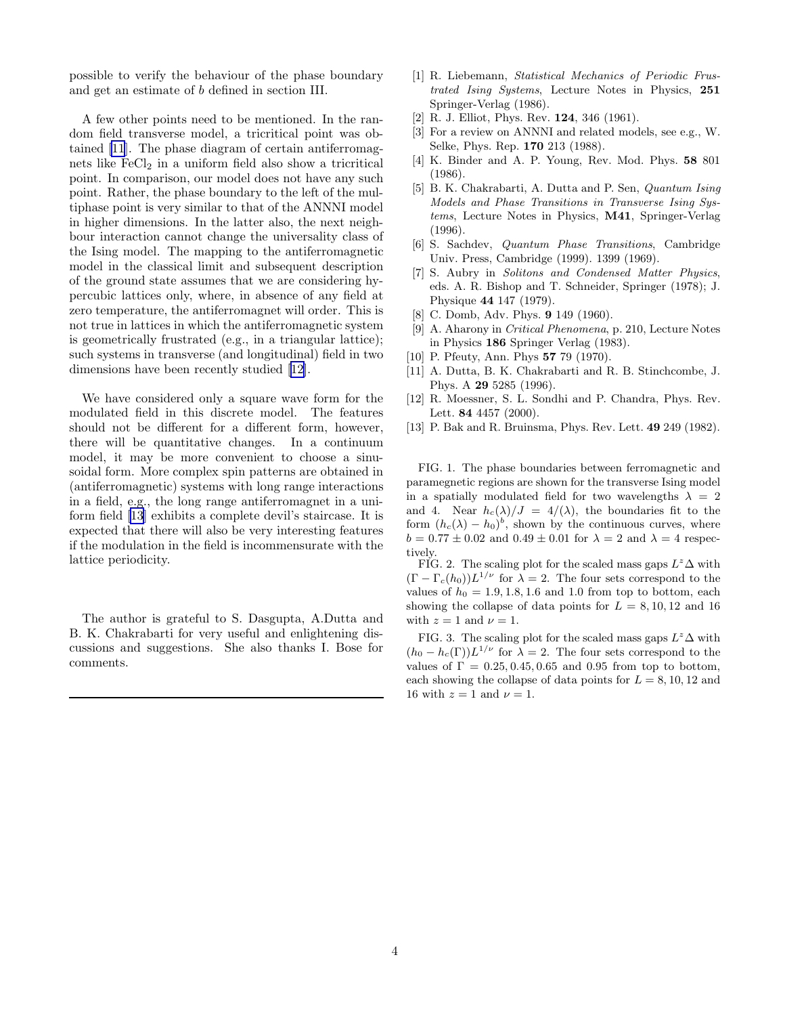<span id="page-3-0"></span>possible to verify the behaviour of the phase boundary and get an estimate of b defined in section III.

A few other points need to be mentioned. In the random field transverse model, a tricritical point was obtained [11]. The phase diagram of certain antiferromagnets like  $\text{FeCl}_2$  in a uniform field also show a tricritical point. In comparison, our model does not have any such point. Rather, the phase boundary to the left of the multiphase point is very similar to that of the ANNNI model in higher dimensions. In the latter also, the next neighbour interaction cannot change the universality class of the Ising model. The mapping to the antiferromagnetic model in the classical limit and subsequent description of the ground state assumes that we are considering hypercubic lattices only, where, in absence of any field at zero temperature, the antiferromagnet will order. This is not true in lattices in which the antiferromagnetic system is geometrically frustrated (e.g., in a triangular lattice); such systems in transverse (and longitudinal) field in two dimensions have been recently studied [12].

We have considered only a square wave form for the modulated field in this discrete model. The features should not be different for a different form, however, there will be quantitative changes. In a continuum model, it may be more convenient to choose a sinusoidal form. More complex spin patterns are obtained in (antiferromagnetic) systems with long range interactions in a field, e.g., the long range antiferromagnet in a uniform field [13] exhibits a complete devil's staircase. It is expected that there will also be very interesting features if the modulation in the field is incommensurate with the lattice periodicity.

The author is grateful to S. Dasgupta, A.Dutta and B. K. Chakrabarti for very useful and enlightening discussions and suggestions. She also thanks I. Bose for comments.

- [1] R. Liebemann, Statistical Mechanics of Periodic Frustrated Ising Systems, Lecture Notes in Physics, 251 Springer-Verlag (1986).
- [2] R. J. Elliot, Phys. Rev. 124, 346 (1961).
- [3] For a review on ANNNI and related models, see e.g., W. Selke, Phys. Rep. 170 213 (1988).
- [4] K. Binder and A. P. Young, Rev. Mod. Phys. 58 801 (1986).
- [5] B. K. Chakrabarti, A. Dutta and P. Sen, Quantum Ising Models and Phase Transitions in Transverse Ising Systems, Lecture Notes in Physics, M41, Springer-Verlag (1996).
- [6] S. Sachdev, Quantum Phase Transitions, Cambridge Univ. Press, Cambridge (1999). 1399 (1969).
- [7] S. Aubry in Solitons and Condensed Matter Physics, eds. A. R. Bishop and T. Schneider, Springer (1978); J. Physique 44 147 (1979).
- [8] C. Domb, Adv. Phys. **9** 149 (1960).
- [9] A. Aharony in Critical Phenomena, p. 210, Lecture Notes in Physics 186 Springer Verlag (1983).
- [10] P. Pfeuty, Ann. Phys **57** 79 (1970).
- [11] A. Dutta, B. K. Chakrabarti and R. B. Stinchcombe, J. Phys. A 29 5285 (1996).
- [12] R. Moessner, S. L. Sondhi and P. Chandra, Phys. Rev. Lett. 84 4457 (2000).
- [13] P. Bak and R. Bruinsma, Phys. Rev. Lett. 49 249 (1982).

FIG. 1. The phase boundaries between ferromagnetic and paramegnetic regions are shown for the transverse Ising model in a spatially modulated field for two wavelengths  $\lambda = 2$ and 4. Near  $h_c(\lambda)/J = 4/(\lambda)$ , the boundaries fit to the form  $(h_c(\lambda) - h_0)^b$ , shown by the continuous curves, where  $b = 0.77 \pm 0.02$  and  $0.49 \pm 0.01$  for  $\lambda = 2$  and  $\lambda = 4$  respectively.

FIG. 2. The scaling plot for the scaled mass gaps  $L^z\Delta$  with  $(\Gamma - \Gamma_c(h_0))L^{1/\nu}$  for  $\lambda = 2$ . The four sets correspond to the values of  $h_0 = 1.9, 1.8, 1.6$  and 1.0 from top to bottom, each showing the collapse of data points for  $L = 8, 10, 12$  and 16 with  $z = 1$  and  $\nu = 1$ .

FIG. 3. The scaling plot for the scaled mass gaps  $L^z\Delta$  with  $(h_0 - h_c(\Gamma))L^{1/\nu}$  for  $\lambda = 2$ . The four sets correspond to the values of  $\Gamma = 0.25, 0.45, 0.65$  and 0.95 from top to bottom, each showing the collapse of data points for  $L = 8, 10, 12$  and 16 with  $z = 1$  and  $\nu = 1$ .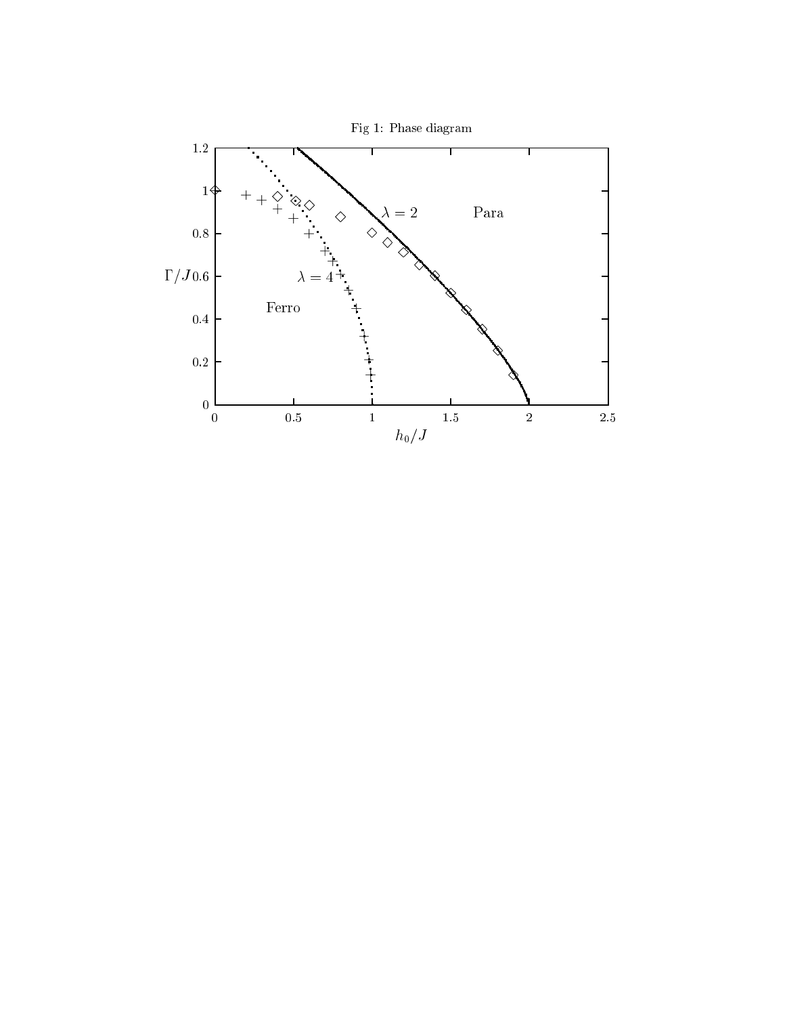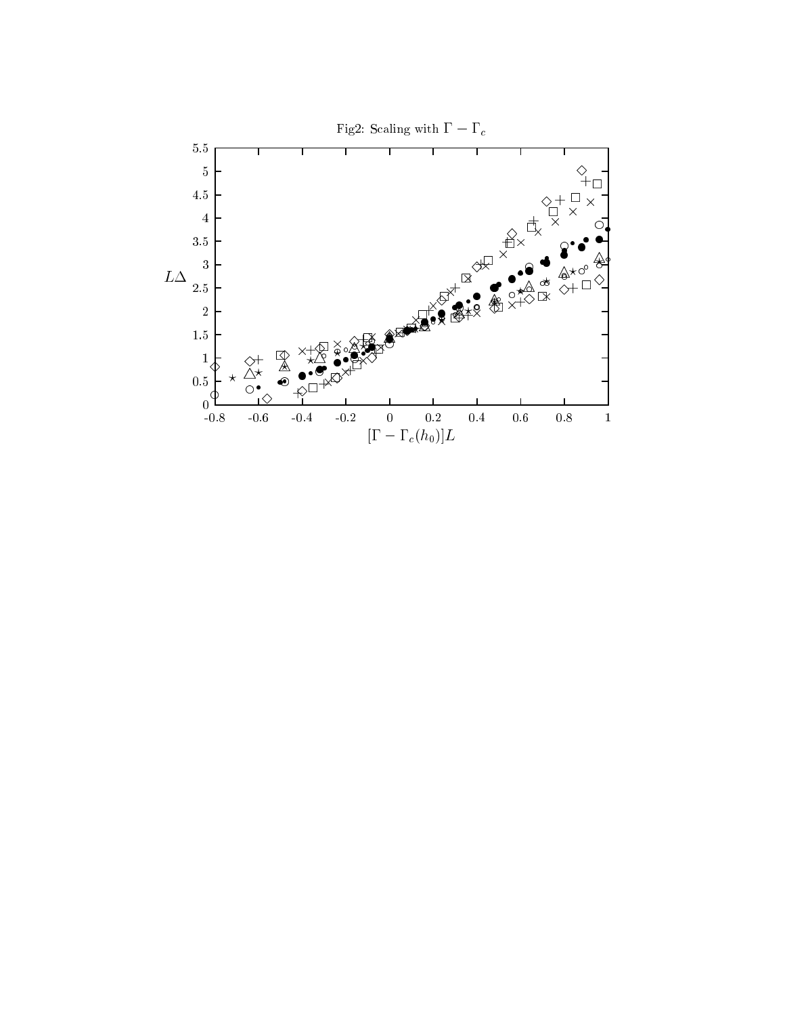